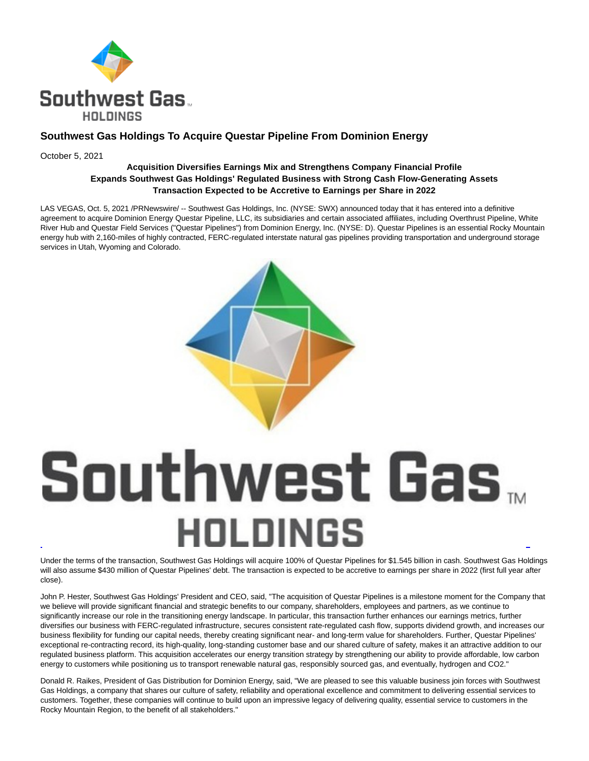

## **Southwest Gas Holdings To Acquire Questar Pipeline From Dominion Energy**

October 5, 2021

### **Acquisition Diversifies Earnings Mix and Strengthens Company Financial Profile Expands Southwest Gas Holdings' Regulated Business with Strong Cash Flow-Generating Assets Transaction Expected to be Accretive to Earnings per Share in 2022**

LAS VEGAS, Oct. 5, 2021 /PRNewswire/ -- Southwest Gas Holdings, Inc. (NYSE: SWX) announced today that it has entered into a definitive agreement to acquire Dominion Energy Questar Pipeline, LLC, its subsidiaries and certain associated affiliates, including Overthrust Pipeline, White River Hub and Questar Field Services ("Questar Pipelines") from Dominion Energy, Inc. (NYSE: D). Questar Pipelines is an essential Rocky Mountain energy hub with 2,160-miles of highly contracted, FERC-regulated interstate natural gas pipelines providing transportation and underground storage services in Utah, Wyoming and Colorado.



# Southwest Gas. **HOLDINGS** l

Under the terms of the transaction, Southwest Gas Holdings will acquire 100% of Questar Pipelines for \$1.545 billion in cash. Southwest Gas Holdings will also assume \$430 million of Questar Pipelines' debt. The transaction is expected to be accretive to earnings per share in 2022 (first full year after close).

John P. Hester, Southwest Gas Holdings' President and CEO, said, "The acquisition of Questar Pipelines is a milestone moment for the Company that we believe will provide significant financial and strategic benefits to our company, shareholders, employees and partners, as we continue to significantly increase our role in the transitioning energy landscape. In particular, this transaction further enhances our earnings metrics, further diversifies our business with FERC-regulated infrastructure, secures consistent rate-regulated cash flow, supports dividend growth, and increases our business flexibility for funding our capital needs, thereby creating significant near- and long-term value for shareholders. Further, Questar Pipelines' exceptional re-contracting record, its high-quality, long-standing customer base and our shared culture of safety, makes it an attractive addition to our regulated business platform. This acquisition accelerates our energy transition strategy by strengthening our ability to provide affordable, low carbon energy to customers while positioning us to transport renewable natural gas, responsibly sourced gas, and eventually, hydrogen and CO2."

Donald R. Raikes, President of Gas Distribution for Dominion Energy, said, "We are pleased to see this valuable business join forces with Southwest Gas Holdings, a company that shares our culture of safety, reliability and operational excellence and commitment to delivering essential services to customers. Together, these companies will continue to build upon an impressive legacy of delivering quality, essential service to customers in the Rocky Mountain Region, to the benefit of all stakeholders."